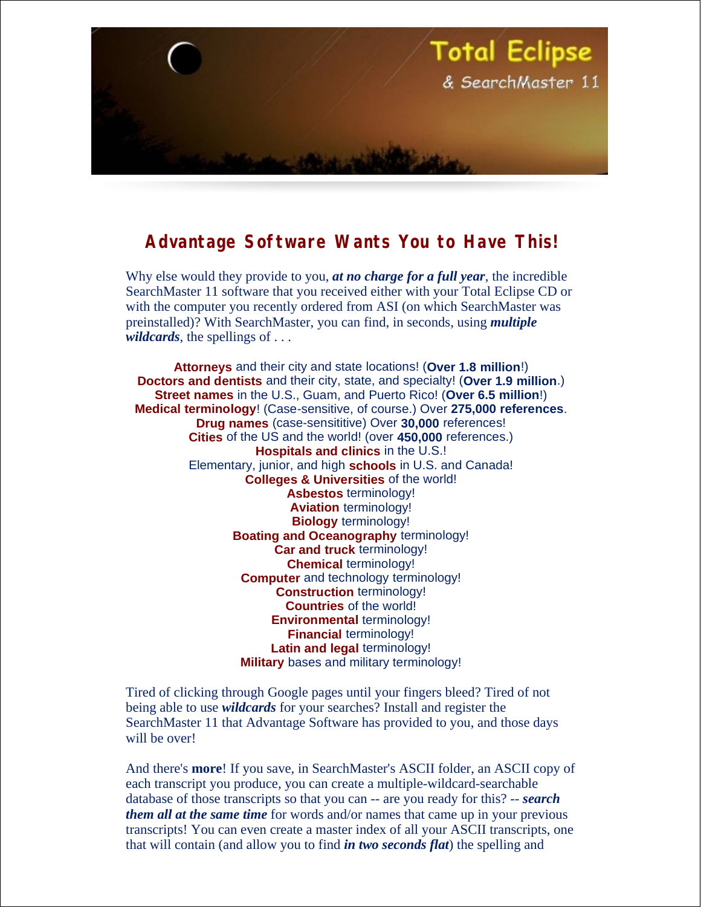

## **Advantage Software Wants You to Have This!**

Why else would they provide to you, *at no charge for a full year*, the incredible SearchMaster 11 software that you received either with your Total Eclipse CD or with the computer you recently ordered from ASI (on which SearchMaster was preinstalled)? With SearchMaster, you can find, in seconds, using *multiple wildcards*, the spellings of . . .

**Attorneys** and their city and state locations! (**Over 1.8 million**!) **Doctors and dentists** and their city, state, and specialty! (**Over 1.9 million**.) **Street names** in the U.S., Guam, and Puerto Rico! (**Over 6.5 million**!) **Medical terminology**! (Case-sensitive, of course.) Over **275,000 references**. **Drug names** (case-sensititive) Over **30,000** references! **Cities** of the US and the world! (over **450,000** references.) **Hospitals and clinics** in the U.S.! Elementary, junior, and high **schools** in U.S. and Canada! **Colleges & Universities** of the world! **Asbestos** terminology! **Aviation** terminology! **Biology** terminology! **Boating and Oceanography** terminology! **Car and truck** terminology! **Chemical** terminology! **Computer** and technology terminology! **Construction** terminology! **Countries** of the world! **Environmental** terminology! **Financial** terminology! **Latin and legal** terminology! **Military** bases and military terminology!

Tired of clicking through Google pages until your fingers bleed? Tired of not being able to use *wildcards* for your searches? Install and register the SearchMaster 11 that Advantage Software has provided to you, and those days will be over!

And there's **more**! If you save, in SearchMaster's ASCII folder, an ASCII copy of each transcript you produce, you can create a multiple-wildcard-searchable database of those transcripts so that you can -- are you ready for this? -- *search them all at the same time* for words and/or names that came up in your previous transcripts! You can even create a master index of all your ASCII transcripts, one that will contain (and allow you to find *in two seconds flat*) the spelling and